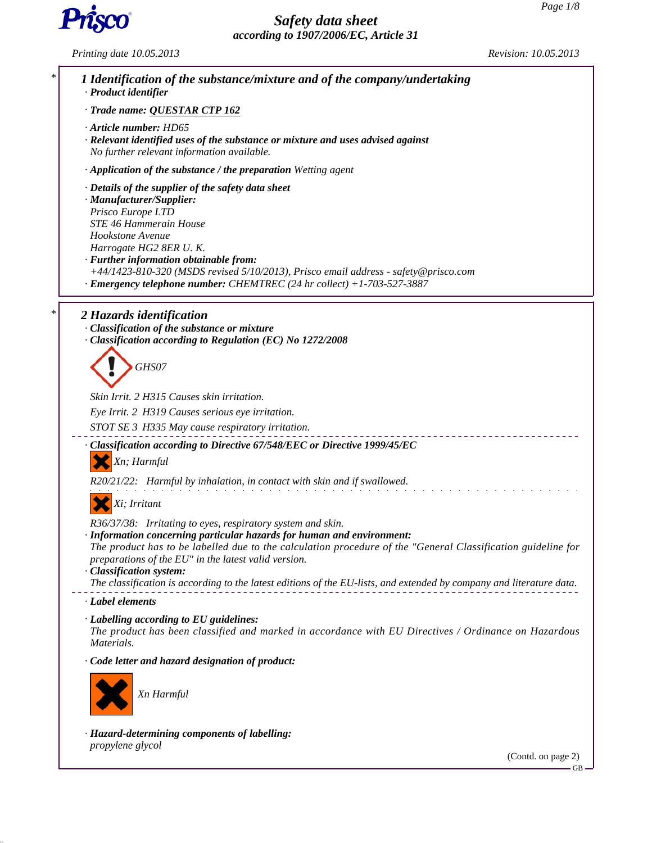

*Printing date 10.05.2013 Revision: 10.05.2013*



(Contd. on page 2) GB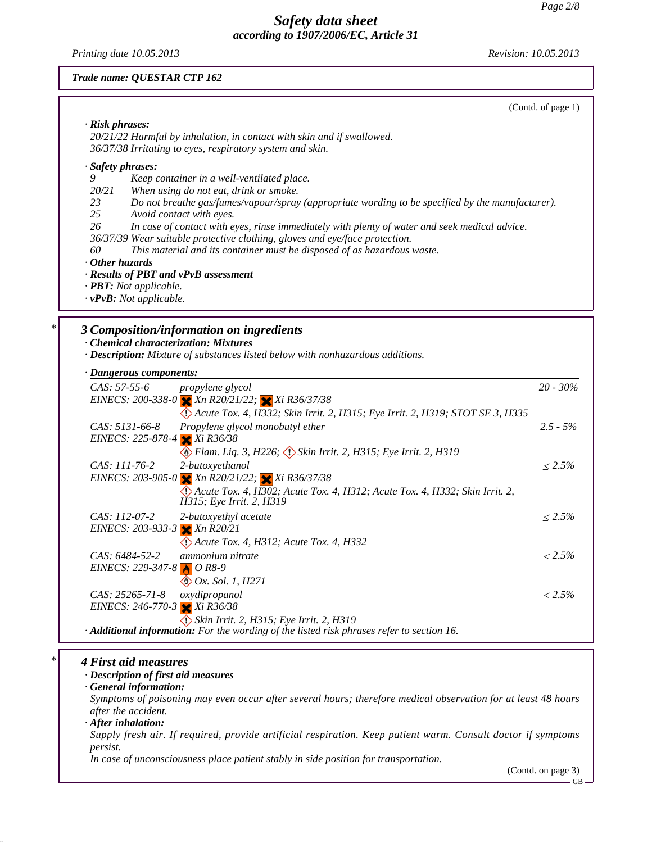*Printing date 10.05.2013 Revision: 10.05.2013*

### *Trade name: QUESTAR CTP 162*

|                                                                                                                                                                                             |                                                                                                                                                                                                                                                                                                                                                                                                                                                                                 | (Contd. of page 1)                         |
|---------------------------------------------------------------------------------------------------------------------------------------------------------------------------------------------|---------------------------------------------------------------------------------------------------------------------------------------------------------------------------------------------------------------------------------------------------------------------------------------------------------------------------------------------------------------------------------------------------------------------------------------------------------------------------------|--------------------------------------------|
| · Risk phrases:                                                                                                                                                                             | 20/21/22 Harmful by inhalation, in contact with skin and if swallowed.<br>36/37/38 Irritating to eyes, respiratory system and skin.                                                                                                                                                                                                                                                                                                                                             |                                            |
| · Safety phrases:<br>9<br>20/21<br>23<br>25<br>26<br>60<br>$\cdot$ Other hazards<br>· Results of PBT and vPvB assessment<br>· <b>PBT</b> : Not applicable.<br>$\cdot$ vPvB: Not applicable. | Keep container in a well-ventilated place.<br>When using do not eat, drink or smoke.<br>Do not breathe gas/fumes/vapour/spray (appropriate wording to be specified by the manufacturer).<br>Avoid contact with eyes.<br>In case of contact with eyes, rinse immediately with plenty of water and seek medical advice.<br>36/37/39 Wear suitable protective clothing, gloves and eye/face protection.<br>This material and its container must be disposed of as hazardous waste. |                                            |
|                                                                                                                                                                                             | 3 Composition/information on ingredients<br>· Chemical characterization: Mixtures                                                                                                                                                                                                                                                                                                                                                                                               |                                            |
|                                                                                                                                                                                             | · Description: Mixture of substances listed below with nonhazardous additions.                                                                                                                                                                                                                                                                                                                                                                                                  |                                            |
| · Dangerous components:                                                                                                                                                                     |                                                                                                                                                                                                                                                                                                                                                                                                                                                                                 |                                            |
| CAS: 57-55-6                                                                                                                                                                                | propylene glycol<br>EINECS: 200-338-0 $\times$ Xn R20/21/22; $\times$ Xi R36/37/38                                                                                                                                                                                                                                                                                                                                                                                              |                                            |
| CAS: 5131-66-8<br>EINECS: 225-878-4 $\times$ Xi R36/38                                                                                                                                      | C Acute Tox. 4, H332; Skin Irrit. 2, H315; Eye Irrit. 2, H319; STOT SE 3, H335<br>Propylene glycol monobutyl ether                                                                                                                                                                                                                                                                                                                                                              |                                            |
| CAS: 111-76-2                                                                                                                                                                               | Flam. Liq. 3, H226; Skin Irrit. 2, H315; Eye Irrit. 2, H319<br>2-butoxyethanol<br>EINECS: 203-905-0 $\times$ Xn R20/21/22; $\times$ Xi R36/37/38                                                                                                                                                                                                                                                                                                                                |                                            |
|                                                                                                                                                                                             | (C) Acute Tox. 4, H302; Acute Tox. 4, H312; Acute Tox. 4, H332; Skin Irrit. 2,<br>H315; Eye Irrit. 2, H319                                                                                                                                                                                                                                                                                                                                                                      | $20 - 30\%$<br>$2.5 - 5\%$<br>$\leq 2.5\%$ |
| CAS: 112-07-2<br>EINECS: 203-933-3 $\times$ Xn R20/21                                                                                                                                       | 2-butoxyethyl acetate                                                                                                                                                                                                                                                                                                                                                                                                                                                           | $\leq 2.5\%$                               |
| CAS: 6484-52-2<br>EINECS: 229-347-8 $\bigcirc$ O R8-9                                                                                                                                       | De Acute Tox. 4, H312; Acute Tox. 4, H332<br>ammonium nitrate                                                                                                                                                                                                                                                                                                                                                                                                                   |                                            |
| CAS: 25265-71-8<br>EINECS: 246-770-3 X Xi R36/38                                                                                                                                            | $\otimes$ Ox. Sol. 1, H271<br>oxydipropanol<br>Skin Irrit. 2, H315; Eye Irrit. 2, H319                                                                                                                                                                                                                                                                                                                                                                                          | $\leq 2.5\%$<br>$\leq 2.5\%$               |

*after the accident.*

### *· After inhalation:*

*Supply fresh air. If required, provide artificial respiration. Keep patient warm. Consult doctor if symptoms persist.*

*In case of unconsciousness place patient stably in side position for transportation.*

(Contd. on page 3)

 $-GB -$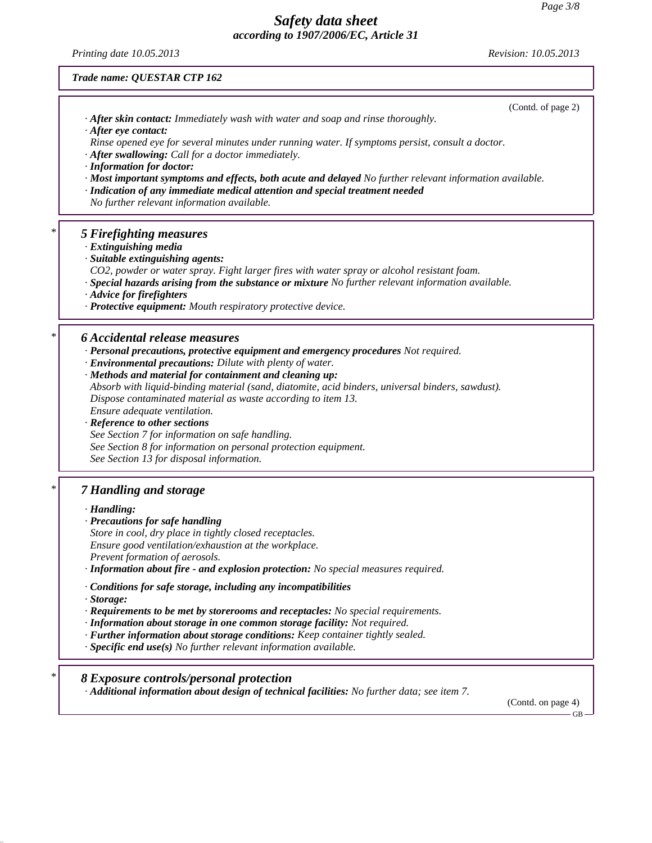*Printing date 10.05.2013 Revision: 10.05.2013*

(Contd. of page 2)

*Trade name: QUESTAR CTP 162*

| · After skin contact: Immediately wash with water and soap and rinse thoroughly.                               |
|----------------------------------------------------------------------------------------------------------------|
| $\cdot$ After eye contact:                                                                                     |
| Rinse opened eye for several minutes under running water. If symptoms persist, consult a doctor.               |
| · After swallowing: Call for a doctor immediately.                                                             |
| $\cdot$ Information for doctor:                                                                                |
| $\cdot$ Most important symptoms and effects, both acute and delayed No further relevant information available. |
| · Indication of any immediate medical attention and special treatment needed                                   |
| No further relevant information available.                                                                     |
|                                                                                                                |

### *\* 5 Firefighting measures*

*· Extinguishing media*

*· Suitable extinguishing agents:*

- *CO2, powder or water spray. Fight larger fires with water spray or alcohol resistant foam.*
- *· Special hazards arising from the substance or mixture No further relevant information available.*
- *· Advice for firefighters*
- *· Protective equipment: Mouth respiratory protective device.*

#### *\* 6 Accidental release measures*

- *· Personal precautions, protective equipment and emergency procedures Not required.*
- *· Environmental precautions: Dilute with plenty of water.*
- *· Methods and material for containment and cleaning up:*
- *Absorb with liquid-binding material (sand, diatomite, acid binders, universal binders, sawdust). Dispose contaminated material as waste according to item 13. Ensure adequate ventilation.*

*· Reference to other sections*

- *See Section 7 for information on safe handling.*
- *See Section 8 for information on personal protection equipment.*
- *See Section 13 for disposal information.*

### *\* 7 Handling and storage*

*· Handling:*

- *· Precautions for safe handling*
- *Store in cool, dry place in tightly closed receptacles. Ensure good ventilation/exhaustion at the workplace.*
- *Prevent formation of aerosols.*
- *· Information about fire and explosion protection: No special measures required.*
- *· Conditions for safe storage, including any incompatibilities*
- *· Storage:*
- *· Requirements to be met by storerooms and receptacles: No special requirements.*
- *· Information about storage in one common storage facility: Not required.*
- *· Further information about storage conditions: Keep container tightly sealed.*
- *· Specific end use(s) No further relevant information available.*

*\* 8 Exposure controls/personal protection*

*· Additional information about design of technical facilities: No further data; see item 7.*

(Contd. on page 4)

GB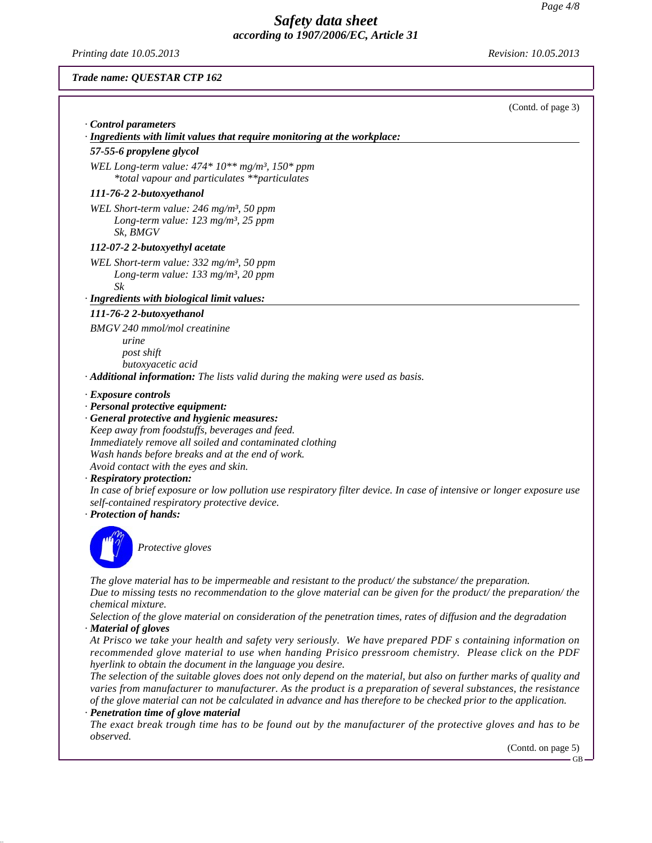### *Printing date 10.05.2013 Revision: 10.05.2013*

### *Trade name: QUESTAR CTP 162*

|                                                                                                                                                                                                  | (Contd. of page 3) |
|--------------------------------------------------------------------------------------------------------------------------------------------------------------------------------------------------|--------------------|
| Control parameters                                                                                                                                                                               |                    |
| $\cdot$ Ingredients with limit values that require monitoring at the workplace:<br>57-55-6 propylene glycol                                                                                      |                    |
| WEL Long-term value: 474* 10** mg/m <sup>3</sup> , 150* ppm<br>*total vapour and particulates **particulates                                                                                     |                    |
| 111-76-2 2-butoxyethanol                                                                                                                                                                         |                    |
| WEL Short-term value: 246 mg/m <sup>3</sup> , 50 ppm<br>Long-term value: $123$ mg/m <sup>3</sup> , 25 ppm<br>Sk, BMGV                                                                            |                    |
| 112-07-2 2-butoxyethyl acetate                                                                                                                                                                   |                    |
| WEL Short-term value: 332 mg/m <sup>3</sup> , 50 ppm<br>Long-term value: $133$ mg/m <sup>3</sup> , 20 ppm<br>Sk                                                                                  |                    |
| · Ingredients with biological limit values:                                                                                                                                                      |                    |
| 111-76-2 2-butoxyethanol                                                                                                                                                                         |                    |
| BMGV 240 mmol/mol creatinine<br>urine<br>post shift<br>butoxyacetic acid<br>· Additional information: The lists valid during the making were used as basis.                                      |                    |
| · Exposure controls                                                                                                                                                                              |                    |
| · Personal protective equipment:                                                                                                                                                                 |                    |
| · General protective and hygienic measures:<br>Keep away from foodstuffs, beverages and feed.                                                                                                    |                    |
| Immediately remove all soiled and contaminated clothing<br>Wash hands before breaks and at the end of work.<br>Avoid contact with the eyes and skin.                                             |                    |
| · Respiratory protection:                                                                                                                                                                        |                    |
| In case of brief exposure or low pollution use respiratory filter device. In case of intensive or longer exposure use<br>self-contained respiratory protective device.<br>· Protection of hands: |                    |
|                                                                                                                                                                                                  |                    |



*Protective gloves*

*The glove material has to be impermeable and resistant to the product/ the substance/ the preparation. Due to missing tests no recommendation to the glove material can be given for the product/ the preparation/ the chemical mixture.*

*Selection of the glove material on consideration of the penetration times, rates of diffusion and the degradation · Material of gloves*

*At Prisco we take your health and safety very seriously. We have prepared PDF s containing information on recommended glove material to use when handing Prisico pressroom chemistry. Please click on the PDF hyerlink to obtain the document in the language you desire.*

*The selection of the suitable gloves does not only depend on the material, but also on further marks of quality and varies from manufacturer to manufacturer. As the product is a preparation of several substances, the resistance of the glove material can not be calculated in advance and has therefore to be checked prior to the application.*

#### *· Penetration time of glove material*

*The exact break trough time has to be found out by the manufacturer of the protective gloves and has to be observed.*

(Contd. on page 5)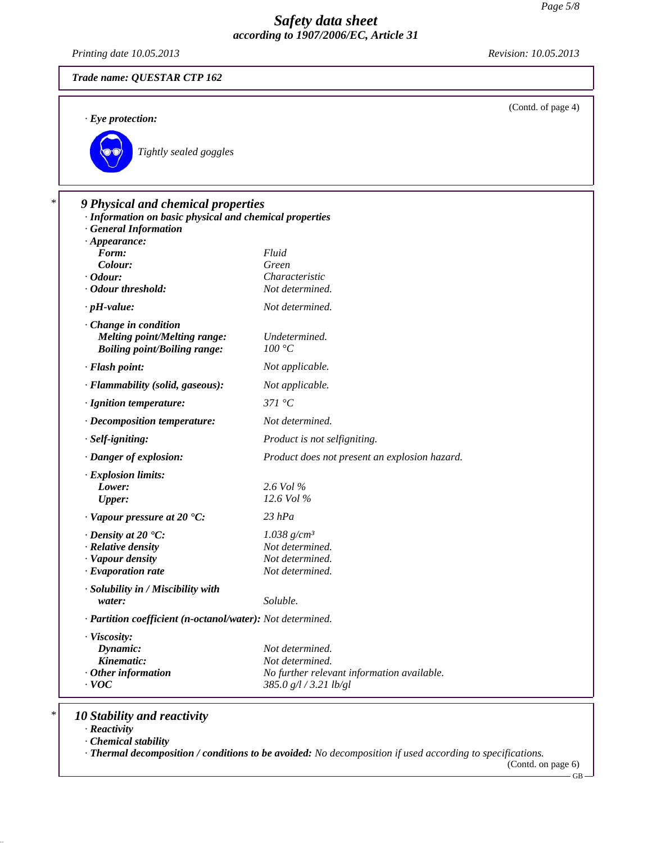*Printing date 10.05.2013 Revision: 10.05.2013*

Г

|                                                                                                   |                                               | (Contd. of page 4) |  |  |
|---------------------------------------------------------------------------------------------------|-----------------------------------------------|--------------------|--|--|
| $\cdot$ Eye protection:                                                                           |                                               |                    |  |  |
| Tightly sealed goggles                                                                            |                                               |                    |  |  |
| 9 Physical and chemical properties                                                                |                                               |                    |  |  |
| · Information on basic physical and chemical properties                                           |                                               |                    |  |  |
| <b>General Information</b>                                                                        |                                               |                    |  |  |
| $\cdot$ Appearance:<br>Form:                                                                      | Fluid                                         |                    |  |  |
| Colour:                                                                                           | Green                                         |                    |  |  |
| $\cdot$ Odour:                                                                                    | Characteristic                                |                    |  |  |
| · Odour threshold:                                                                                | Not determined.                               |                    |  |  |
| $\cdot$ pH-value:                                                                                 | Not determined.                               |                    |  |  |
| Change in condition<br><b>Melting point/Melting range:</b><br><b>Boiling point/Boiling range:</b> | Undetermined.<br>100 °C                       |                    |  |  |
| · Flash point:                                                                                    | Not applicable.                               |                    |  |  |
| · Flammability (solid, gaseous):                                                                  | Not applicable.                               |                    |  |  |
| · Ignition temperature:                                                                           | 371 °C                                        |                    |  |  |
| · Decomposition temperature:                                                                      | Not determined.                               |                    |  |  |
| · Self-igniting:                                                                                  | Product is not selfigniting.                  |                    |  |  |
| · Danger of explosion:                                                                            | Product does not present an explosion hazard. |                    |  |  |
| · Explosion limits:                                                                               |                                               |                    |  |  |
| Lower:                                                                                            | 2.6 Vol %                                     |                    |  |  |
| <b>Upper:</b>                                                                                     | 12.6 Vol %                                    |                    |  |  |
| $\cdot$ Vapour pressure at 20 $\textdegree$ C:                                                    | $23$ hPa                                      |                    |  |  |
| $\cdot$ Density at 20 $\textdegree$ C:                                                            | $1.038$ g/cm <sup>3</sup>                     |                    |  |  |
| $\cdot$ Relative density<br>· Vapour density                                                      | Not determined.                               |                    |  |  |
| · Evaporation rate                                                                                | Not determined.<br>Not determined.            |                    |  |  |
| · Solubility in / Miscibility with                                                                |                                               |                    |  |  |
| water:                                                                                            | Soluble.                                      |                    |  |  |
| · Partition coefficient (n-octanol/water): Not determined.                                        |                                               |                    |  |  |
| · Viscosity:                                                                                      |                                               |                    |  |  |
| Dynamic:                                                                                          | Not determined.                               |                    |  |  |
| Kinematic:                                                                                        | Not determined.                               |                    |  |  |
| Other information                                                                                 | No further relevant information available.    |                    |  |  |

# *\* 10 Stability and reactivity*

*· Reactivity*

*· Chemical stability*

*· Thermal decomposition / conditions to be avoided: No decomposition if used according to specifications.*

(Contd. on page 6)

 $-GB -$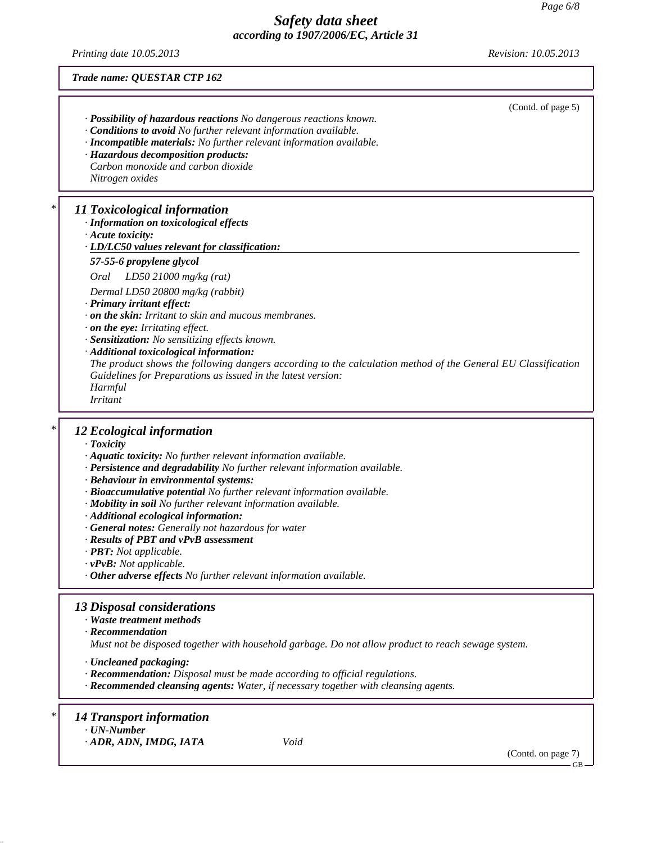*Printing date 10.05.2013 Revision: 10.05.2013*

|   | Trade name: QUESTAR CTP 162                                                                                                                                                                                                                                                                                                                                                                                                                                                                                                                                                                                                                                                              |
|---|------------------------------------------------------------------------------------------------------------------------------------------------------------------------------------------------------------------------------------------------------------------------------------------------------------------------------------------------------------------------------------------------------------------------------------------------------------------------------------------------------------------------------------------------------------------------------------------------------------------------------------------------------------------------------------------|
|   | (Contd. of page 5)<br>· Possibility of hazardous reactions No dangerous reactions known.<br>Conditions to avoid No further relevant information available.<br>· Incompatible materials: No further relevant information available.<br>· Hazardous decomposition products:<br>Carbon monoxide and carbon dioxide<br>Nitrogen oxides                                                                                                                                                                                                                                                                                                                                                       |
| * | 11 Toxicological information<br>· Information on toxicological effects<br>· Acute toxicity:<br>· LD/LC50 values relevant for classification:<br>57-55-6 propylene glycol<br>LD50 21000 mg/kg (rat)<br>Oral<br>Dermal LD50 20800 mg/kg (rabbit)<br>· Primary irritant effect:<br>on the skin: Irritant to skin and mucous membranes.<br>$\cdot$ on the eye: Irritating effect.<br>· Sensitization: No sensitizing effects known.<br>· Additional toxicological information:<br>The product shows the following dangers according to the calculation method of the General EU Classification<br>Guidelines for Preparations as issued in the latest version:<br>Harmful<br><i>Irritant</i> |
| * | 12 Ecological information<br>· Toxicity<br>· Aquatic toxicity: No further relevant information available.<br>· Persistence and degradability No further relevant information available.<br>· Behaviour in environmental systems:<br>· Bioaccumulative potential No further relevant information available.<br>· Mobility in soil No further relevant information available.<br>· Additional ecological information:<br>· General notes: Generally not hazardous for water<br><b>Results of PBT and vPvB assessment</b><br>· PBT: Not applicable.<br>$\cdot$ vPvB: Not applicable.<br>Other adverse effects No further relevant information available.                                    |
|   | <b>13 Disposal considerations</b><br>· Waste treatment methods<br>$\cdot$ Recommendation<br>Must not be disposed together with household garbage. Do not allow product to reach sewage system.<br>· Uncleaned packaging:<br>· Recommendation: Disposal must be made according to official regulations.<br>· Recommended cleansing agents: Water, if necessary together with cleansing agents.                                                                                                                                                                                                                                                                                            |

# *\* 14 Transport information*

*· UN-Number · ADR, ADN, IMDG, IATA Void*

(Contd. on page 7)  $-GB -$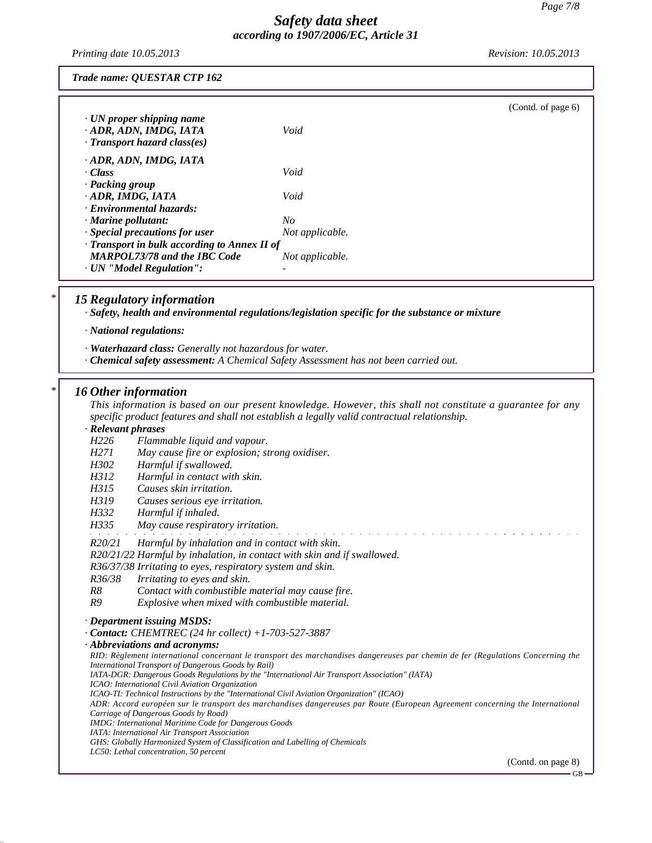*Printing date 10.05.2013 Revision: 10.05.2013*

*Trade name: QUESTAR CTP 162*

|                                                                                                 |                 | (Cond. of page 6) |
|-------------------------------------------------------------------------------------------------|-----------------|-------------------|
| $\cdot$ UN proper shipping name<br>· ADR, ADN, IMDG, IATA<br>$\cdot$ Transport hazard class(es) | Void            |                   |
| ADR, ADN, IMDG, IATA                                                                            |                 |                   |
| · Class                                                                                         | Void            |                   |
| · Packing group                                                                                 |                 |                   |
| $\cdot$ ADR, IMDG, IATA                                                                         | Void            |                   |
| · Environmental hazards:                                                                        |                 |                   |
| $\cdot$ Marine pollutant:                                                                       | No              |                   |
| · Special precautions for user                                                                  | Not applicable. |                   |
| · Transport in bulk according to Annex II of                                                    |                 |                   |
| <b>MARPOL73/78 and the IBC Code</b>                                                             | Not applicable. |                   |
| · UN "Model Regulation":                                                                        |                 |                   |

### *\* 15 Regulatory information*

*· Safety, health and environmental regulations/legislation specific for the substance or mixture*

*· National regulations:*

*· Waterhazard class: Generally not hazardous for water.*

*· Chemical safety assessment: A Chemical Safety Assessment has not been carried out.*

### *\* 16 Other information*

*This information is based on our present knowledge. However, this shall not constitute a guarantee for any specific product features and shall not establish a legally valid contractual relationship.*

### *· Relevant phrases*

*H226 Flammable liquid and vapour. H271 May cause fire or explosion; strong oxidiser. H302 Harmful if swallowed. H312 Harmful in contact with skin. H315 Causes skin irritation. H319 Causes serious eye irritation. H332 Harmful if inhaled. H335 May cause respiratory irritation. R20/21 Harmful by inhalation and in contact with skin. R20/21/22 Harmful by inhalation, in contact with skin and if swallowed. R36/37/38 Irritating to eyes, respiratory system and skin. R36/38 Irritating to eyes and skin. Contact with combustible material may cause fire. R9 Explosive when mixed with combustible material. · Department issuing MSDS: · Contact: CHEMTREC (24 hr collect) +1-703-527-3887 · Abbreviations and acronyms: RID: Règlement international concernant le transport des marchandises dangereuses par chemin de fer (Regulations Concerning the International Transport of Dangerous Goods by Rail) IATA-DGR: Dangerous Goods Regulations by the "International Air Transport Association" (IATA) ICAO: International Civil Aviation Organization ICAO-TI: Technical Instructions by the "International Civil Aviation Organization" (ICAO) ADR: Accord européen sur le transport des marchandises dangereuses par Route (European Agreement concerning the International Carriage of Dangerous Goods by Road) IMDG: International Maritime Code for Dangerous Goods IATA: International Air Transport Association GHS: Globally Harmonized System of Classification and Labelling of Chemicals LC50: Lethal concentration, 50 percent* (Contd. on page 8)